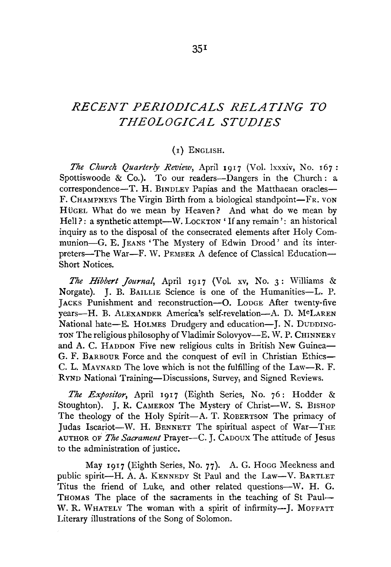## *RECENT PERIODICALS RELATING TO THEOLOGICAL STUDIES*

## (1) ENGLISH.

*The Church Quarte1·ly Review,* April 1917 (Vol. lxxxiv, No. 167: Spottiswoode & Co.). To our readers--Dangers in the Church: a correspondence-T. H. BINDLEY Papias and the Matthaean oracles-F. CHAMPNEYS The Virgin Birth from a biological standpoint-FR. VON HÜGEL What do we mean by Heaven? And what do we mean by Hell?: a synthetic attempt-W. LOCKTON 'If any remain': an historical inquiry as to the disposal of the consecrated elements after Holy Communion-G. E. JEANS 'The Mystery of Edwin Drood' and its interpreters-The War-F. W. PEMBER A defence of Classical Education-Short Notices.

*The Hibbert Journal,* April 1917 (Vol. xv, No. 3: Williams & Norgate). J. B. BAILLIE Science is one of the Humanities-L. P. JACKS Punishment and reconstruction-G. LoDGE After twenty-five years-H. B. ALEXANDER America's self-revelation-A. D. McLAREN National hate-E. HOLMES Drudgery and education-J. N. DUDDING-TON The religious philosophy of Vladimir Solovyov-E. W. P. CHINNERY and A. C. HADDON Five new religious cults in British New Guinea-G. F. BARBOUR Force and the conquest of evil in Christian Ethics-C. L. MAYNARD The love which is not the fulfilling of the Law-R. F. RYND National Training-Discussions, Survey, and Signed Reviews.

*The Expositor,* April 1917 (Eighth Series, No. 76: Hodder & Stoughton). J. R. CAMERON The Mystery of Christ-W. S. BISHOP The theology of the Holy Spirit-A. T. ROBERTSON The primacy of Judas Iscariot-W. H. BENNETT The spiritual aspect of War-THE AUTHOR *oi The Sacrament* Prayer-C. J. CADoux The attitude of Jesus to the administration of justice.

May 1917 (Eighth Series, No. 77). A. G. Hogg Meekness and public spirit-H. A. A. KENNEDY St Paul and the Law-V. BARTLET Titus the friend of Luke, and other related questions-W. H. G. THOMAS The place of the sacraments in the teaching of St Paul-W. R. WHATELY The woman with a spirit of infirmity--J. MOFFATT Literary illustrations of the Song of Solomon.